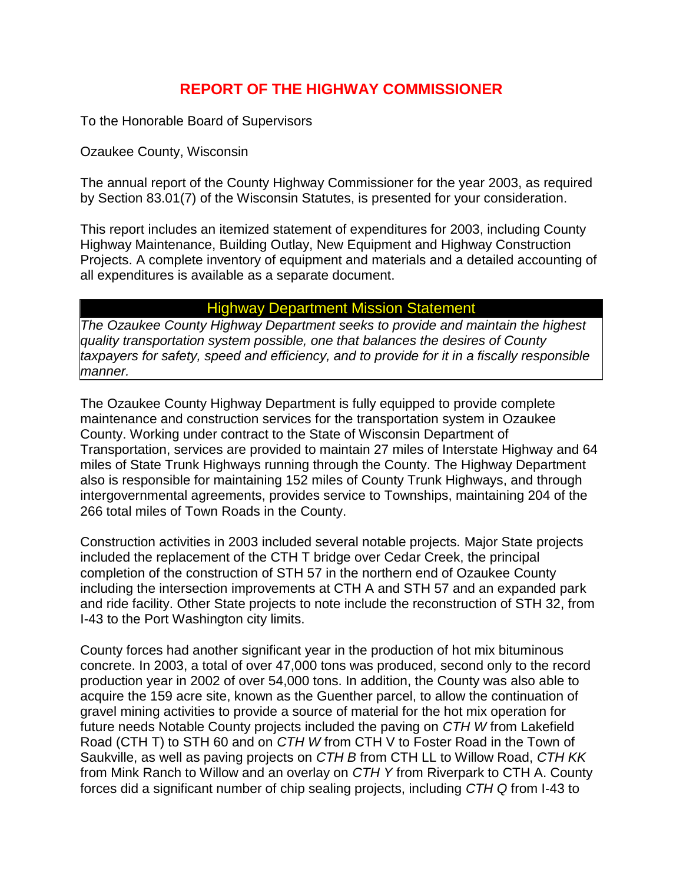## **REPORT OF THE HIGHWAY COMMISSIONER**

To the Honorable Board of Supervisors

Ozaukee County, Wisconsin

The annual report of the County Highway Commissioner for the year 2003, as required by Section 83.01(7) of the Wisconsin Statutes, is presented for your consideration.

This report includes an itemized statement of expenditures for 2003, including County Highway Maintenance, Building Outlay, New Equipment and Highway Construction Projects. A complete inventory of equipment and materials and a detailed accounting of all expenditures is available as a separate document.

## Highway Department Mission Statement

*The Ozaukee County Highway Department seeks to provide and maintain the highest quality transportation system possible, one that balances the desires of County taxpayers for safety, speed and efficiency, and to provide for it in a fiscally responsible manner.* 

The Ozaukee County Highway Department is fully equipped to provide complete maintenance and construction services for the transportation system in Ozaukee County. Working under contract to the State of Wisconsin Department of Transportation, services are provided to maintain 27 miles of Interstate Highway and 64 miles of State Trunk Highways running through the County. The Highway Department also is responsible for maintaining 152 miles of County Trunk Highways, and through intergovernmental agreements, provides service to Townships, maintaining 204 of the 266 total miles of Town Roads in the County.

Construction activities in 2003 included several notable projects. Major State projects included the replacement of the CTH T bridge over Cedar Creek, the principal completion of the construction of STH 57 in the northern end of Ozaukee County including the intersection improvements at CTH A and STH 57 and an expanded park and ride facility. Other State projects to note include the reconstruction of STH 32, from I-43 to the Port Washington city limits.

County forces had another significant year in the production of hot mix bituminous concrete. In 2003, a total of over 47,000 tons was produced, second only to the record production year in 2002 of over 54,000 tons. In addition, the County was also able to acquire the 159 acre site, known as the Guenther parcel, to allow the continuation of gravel mining activities to provide a source of material for the hot mix operation for future needs Notable County projects included the paving on *CTH W* from Lakefield Road (CTH T) to STH 60 and on *CTH W* from CTH V to Foster Road in the Town of Saukville, as well as paving projects on *CTH B* from CTH LL to Willow Road, *CTH KK* from Mink Ranch to Willow and an overlay on *CTH Y* from Riverpark to CTH A. County forces did a significant number of chip sealing projects, including *CTH Q* from I-43 to